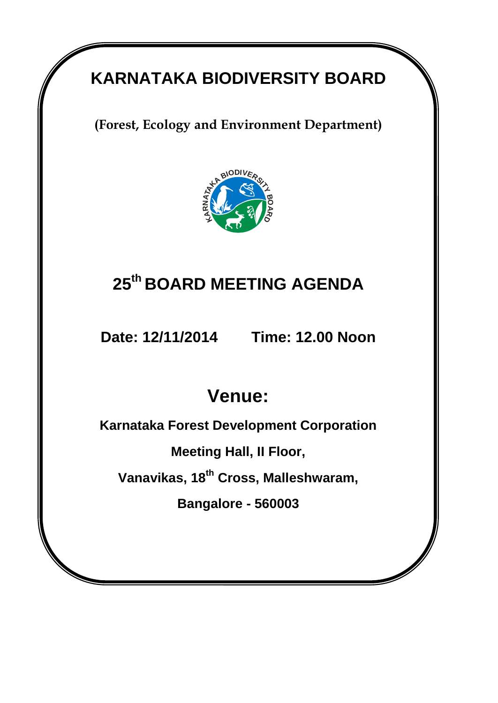# **KARNATAKA BIODIVERSITY BOARD**

**(Forest, Ecology and Environment Department)** 



# **25 th BOARD MEETING AGENDA**

**Date: 12/11/2014 Time: 12.00 Noon**

# **Venue:**

**Karnataka Forest Development Corporation**

**Meeting Hall, II Floor,**

**Vanavikas, 18th Cross, Malleshwaram,**

**Bangalore - 560003**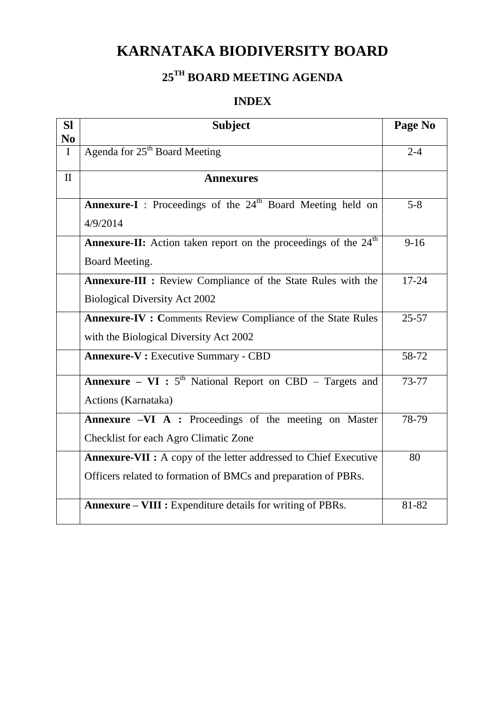## **KARNATAKA BIODIVERSITY BOARD**

## **25TH BOARD MEETING AGENDA**

## **INDEX**

| <b>SI</b><br>N <sub>0</sub> | <b>Subject</b>                                                                     | Page No   |
|-----------------------------|------------------------------------------------------------------------------------|-----------|
| $\mathbf I$                 | Agenda for 25 <sup>th</sup> Board Meeting                                          | $2 - 4$   |
| $\mathbf{I}$                | <b>Annexures</b>                                                                   |           |
|                             | <b>Annexure-I</b> : Proceedings of the 24 <sup>th</sup> Board Meeting held on      | $5 - 8$   |
|                             | 4/9/2014                                                                           |           |
|                             | <b>Annexure-II:</b> Action taken report on the proceedings of the 24 <sup>th</sup> | $9-16$    |
|                             | Board Meeting.                                                                     |           |
|                             | Annexure-III : Review Compliance of the State Rules with the                       | $17 - 24$ |
|                             | <b>Biological Diversity Act 2002</b>                                               |           |
|                             | <b>Annexure-IV : Comments Review Compliance of the State Rules</b>                 | $25 - 57$ |
|                             | with the Biological Diversity Act 2002                                             |           |
|                             | <b>Annexure-V:</b> Executive Summary - CBD                                         | 58-72     |
|                             | <b>Annexure – VI</b> : $5th$ National Report on CBD – Targets and                  | 73-77     |
|                             | Actions (Karnataka)                                                                |           |
|                             | Annexure -VI A : Proceedings of the meeting on Master                              | 78-79     |
|                             | Checklist for each Agro Climatic Zone                                              |           |
|                             | <b>Annexure-VII :</b> A copy of the letter addressed to Chief Executive            | 80        |
|                             | Officers related to formation of BMCs and preparation of PBRs.                     |           |
|                             | <b>Annexure – VIII :</b> Expenditure details for writing of PBRs.                  | 81-82     |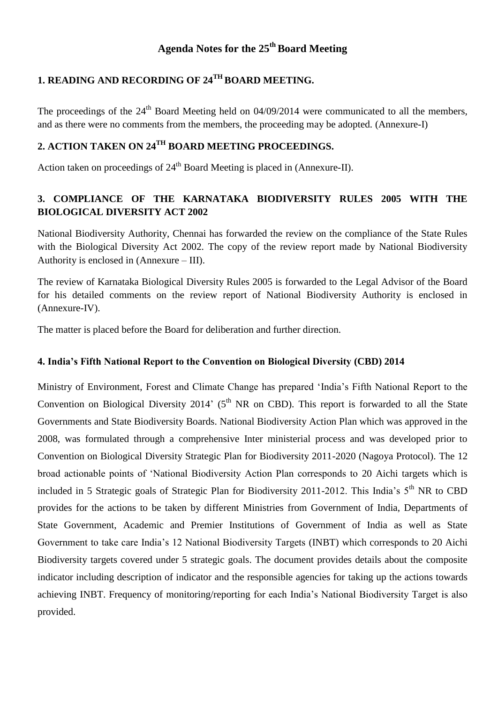### **Agenda Notes for the 25 thBoard Meeting**

## **1. READING AND RECORDING OF 24TH BOARD MEETING.**

The proceedings of the  $24<sup>th</sup>$  Board Meeting held on 04/09/2014 were communicated to all the members, and as there were no comments from the members, the proceeding may be adopted. (Annexure-I)

## **2. ACTION TAKEN ON 24TH BOARD MEETING PROCEEDINGS.**

Action taken on proceedings of  $24<sup>th</sup>$  Board Meeting is placed in (Annexure-II).

### **3. COMPLIANCE OF THE KARNATAKA BIODIVERSITY RULES 2005 WITH THE BIOLOGICAL DIVERSITY ACT 2002**

National Biodiversity Authority, Chennai has forwarded the review on the compliance of the State Rules with the Biological Diversity Act 2002. The copy of the review report made by National Biodiversity Authority is enclosed in (Annexure – III).

The review of Karnataka Biological Diversity Rules 2005 is forwarded to the Legal Advisor of the Board for his detailed comments on the review report of National Biodiversity Authority is enclosed in (Annexure-IV).

The matter is placed before the Board for deliberation and further direction.

#### **4. India's Fifth National Report to the Convention on Biological Diversity (CBD) 2014**

Ministry of Environment, Forest and Climate Change has prepared 'India's Fifth National Report to the Convention on Biological Diversity 2014' ( $5<sup>th</sup> NR$  on CBD). This report is forwarded to all the State Governments and State Biodiversity Boards. National Biodiversity Action Plan which was approved in the 2008, was formulated through a comprehensive Inter ministerial process and was developed prior to Convention on Biological Diversity Strategic Plan for Biodiversity 2011-2020 (Nagoya Protocol). The 12 broad actionable points of 'National Biodiversity Action Plan corresponds to 20 Aichi targets which is included in 5 Strategic goals of Strategic Plan for Biodiversity 2011-2012. This India's 5<sup>th</sup> NR to CBD provides for the actions to be taken by different Ministries from Government of India, Departments of State Government, Academic and Premier Institutions of Government of India as well as State Government to take care India's 12 National Biodiversity Targets (INBT) which corresponds to 20 Aichi Biodiversity targets covered under 5 strategic goals. The document provides details about the composite indicator including description of indicator and the responsible agencies for taking up the actions towards achieving INBT. Frequency of monitoring/reporting for each India's National Biodiversity Target is also provided.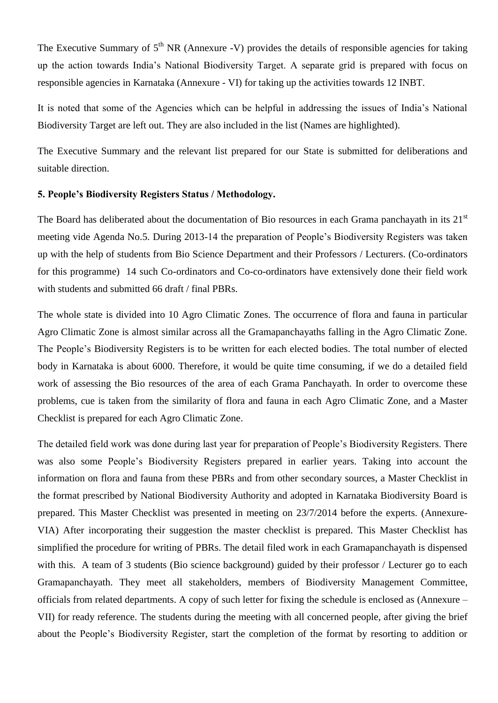The Executive Summary of  $5<sup>th</sup> NR$  (Annexure -V) provides the details of responsible agencies for taking up the action towards India's National Biodiversity Target. A separate grid is prepared with focus on responsible agencies in Karnataka (Annexure - VI) for taking up the activities towards 12 INBT.

It is noted that some of the Agencies which can be helpful in addressing the issues of India's National Biodiversity Target are left out. They are also included in the list (Names are highlighted).

The Executive Summary and the relevant list prepared for our State is submitted for deliberations and suitable direction.

#### **5. People's Biodiversity Registers Status / Methodology.**

The Board has deliberated about the documentation of Bio resources in each Grama panchayath in its  $21<sup>st</sup>$ meeting vide Agenda No.5. During 2013-14 the preparation of People's Biodiversity Registers was taken up with the help of students from Bio Science Department and their Professors / Lecturers. (Co-ordinators for this programme) 14 such Co-ordinators and Co-co-ordinators have extensively done their field work with students and submitted 66 draft / final PBRs.

The whole state is divided into 10 Agro Climatic Zones. The occurrence of flora and fauna in particular Agro Climatic Zone is almost similar across all the Gramapanchayaths falling in the Agro Climatic Zone. The People's Biodiversity Registers is to be written for each elected bodies. The total number of elected body in Karnataka is about 6000. Therefore, it would be quite time consuming, if we do a detailed field work of assessing the Bio resources of the area of each Grama Panchayath. In order to overcome these problems, cue is taken from the similarity of flora and fauna in each Agro Climatic Zone, and a Master Checklist is prepared for each Agro Climatic Zone.

The detailed field work was done during last year for preparation of People's Biodiversity Registers. There was also some People's Biodiversity Registers prepared in earlier years. Taking into account the information on flora and fauna from these PBRs and from other secondary sources, a Master Checklist in the format prescribed by National Biodiversity Authority and adopted in Karnataka Biodiversity Board is prepared. This Master Checklist was presented in meeting on 23/7/2014 before the experts. (Annexure-VIA) After incorporating their suggestion the master checklist is prepared. This Master Checklist has simplified the procedure for writing of PBRs. The detail filed work in each Gramapanchayath is dispensed with this. A team of 3 students (Bio science background) guided by their professor / Lecturer go to each Gramapanchayath. They meet all stakeholders, members of Biodiversity Management Committee, officials from related departments. A copy of such letter for fixing the schedule is enclosed as (Annexure – VII) for ready reference. The students during the meeting with all concerned people, after giving the brief about the People's Biodiversity Register, start the completion of the format by resorting to addition or